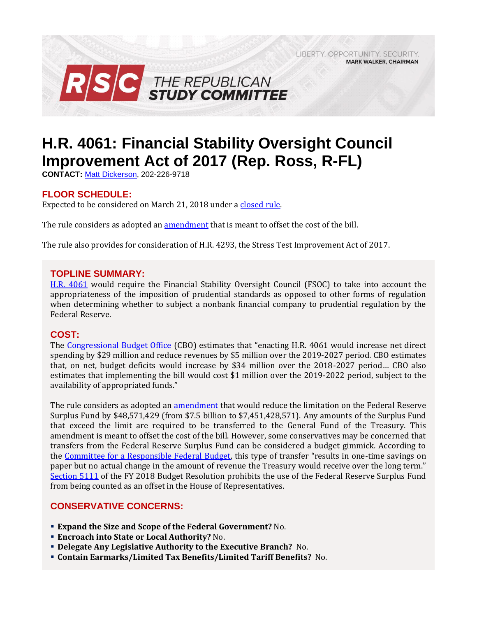LIBERTY, OPPORTUNITY, SECURITY, **MARK WALKER, CHAIRMAN** 



# **H.R. 4061: Financial Stability Oversight Council Improvement Act of 2017 (Rep. Ross, R-FL)**

**CONTACT:** [Matt Dickerson,](mailto:Matthew.Dickerson@mail.house.gov) 202-226-9718

# **FLOOR SCHEDULE:**

Expected to be considered on March 21, 2018 under [a closed rule.](https://rules.house.gov/bill/115/hr-4061)

The rule considers as adopted an [amendment](https://amendments-rules.house.gov/amendments/HR4061_FED_xml%20-%20Rules%20Amendment3918143706376.pdf) that is meant to offset the cost of the bill.

The rule also provides for consideration of H.R. 4293, the Stress Test Improvement Act of 2017.

### **TOPLINE SUMMARY:**

[H.R. 4061](http://docs.house.gov/billsthisweek/20180312/BILLS-115HR4061-RCP115-64.pdf) would require the Financial Stability Oversight Council (FSOC) to take into account the appropriateness of the imposition of prudential standards as opposed to other forms of regulation when determining whether to subject a nonbank financial company to prudential regulation by the Federal Reserve.

# **COST:**

The [Congressional Budget Office](https://www.cbo.gov/system/files/115th-congress-2017-2018/costestimate/hr4061.pdf) (CBO) estimates that "enacting H.R. 4061 would increase net direct spending by \$29 million and reduce revenues by \$5 million over the 2019-2027 period. CBO estimates that, on net, budget deficits would increase by \$34 million over the 2018-2027 period… CBO also estimates that implementing the bill would cost \$1 million over the 2019-2022 period, subject to the availability of appropriated funds."

The rule considers as adopted an [amendment](https://amendments-rules.house.gov/amendments/HR4545_FED_xml3818151206126.pdf) that would reduce the limitation on the Federal Reserve Surplus Fund by \$48,571,429 (from \$7.5 billion to \$7,451,428,571). Any amounts of the Surplus Fund that exceed the limit are required to be transferred to the General Fund of the Treasury. This amendment is meant to offset the cost of the bill. However, some conservatives may be concerned that transfers from the Federal Reserve Surplus Fund can be considered a budget gimmick. According to the [Committee for a Responsible Federal Budget,](http://www.crfb.org/blogs/federal-reserve-budget-gimmick-house-transportation-bill) this type of transfer "results in one-time savings on paper but no actual change in the amount of revenue the Treasury would receive over the long term." [Section 5111](https://www.congress.gov/115/bills/hconres71/BILLS-115hconres71enr.pdf#page=45) of the FY 2018 Budget Resolution prohibits the use of the Federal Reserve Surplus Fund from being counted as an offset in the House of Representatives.

# **CONSERVATIVE CONCERNS:**

- **Expand the Size and Scope of the Federal Government?** No.
- **Encroach into State or Local Authority?** No.
- **Delegate Any Legislative Authority to the Executive Branch?** No.
- **Contain Earmarks/Limited Tax Benefits/Limited Tariff Benefits?** No.